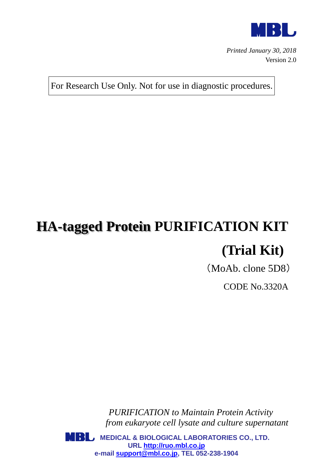

*Printed January 30, 2018* Version 2.0

For Research Use Only. Not for use in diagnostic procedures.

# **HA-tagged Protein PURIFICATION KIT (Trial Kit)**

(MoAb. clone 5D8)

CODE No.3320A

*PURIFICATION to Maintain Protein Activity from eukaryote cell lysate and culture supernatant*

**MBL** MEDICAL & BIOLOGICAL LABORATORIES CO., LTD. **URL [http://ruo.mbl.co.jp](http://ruo.mbl.co.jp/) e-mail [support@mbl.co.jp,](mailto:support@mbl.co.jp) TEL 052-238-1904**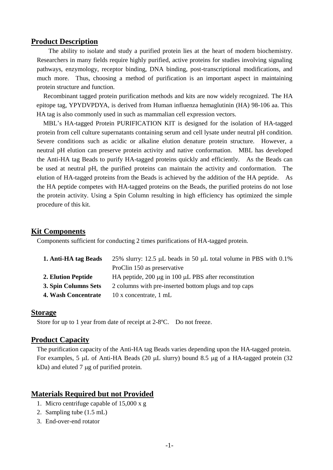### **Product Description**

The ability to isolate and study a purified protein lies at the heart of modern biochemistry. Researchers in many fields require highly purified, active proteins for studies involving signaling pathways, enzymology, receptor binding, DNA binding, post-transcriptional modifications, and much more. Thus, choosing a method of purification is an important aspect in maintaining protein structure and function.

Recombinant tagged protein purification methods and kits are now widely recognized. The HA epitope tag, YPYDVPDYA, is derived from Human influenza hemaglutinin (HA) 98-106 aa. This HA tag is also commonly used in such as mammalian cell expression vectors.

MBL's HA-tagged Protein PURIFICATION KIT is designed for the isolation of HA-tagged protein from cell culture supernatants containing serum and cell lysate under neutral pH condition. Severe conditions such as acidic or alkaline elution denature protein structure. However, a neutral pH elution can preserve protein activity and native conformation. MBL has developed the Anti-HA tag Beads to purify HA-tagged proteins quickly and efficiently. As the Beads can be used at neutral pH, the purified proteins can maintain the activity and conformation. The elution of HA-tagged proteins from the Beads is achieved by the addition of the HA peptide. As the HA peptide competes with HA-tagged proteins on the Beads, the purified proteins do not lose the protein activity. Using a Spin Column resulting in high efficiency has optimized the simple procedure of this kit.

#### **Kit Components**

Components sufficient for conducting 2 times purifications of HA-tagged protein.

| 1. Anti-HA tag Beads | 25% slurry: 12.5 $\mu$ L beads in 50 $\mu$ L total volume in PBS with 0.1% |  |  |
|----------------------|----------------------------------------------------------------------------|--|--|
|                      | ProClin 150 as preservative                                                |  |  |
| 2. Elution Peptide   | HA peptide, 200 µg in 100 µL PBS after reconstitution                      |  |  |
| 3. Spin Columns Sets | 2 columns with pre-inserted bottom plugs and top caps                      |  |  |
| 4. Wash Concentrate  | 10 x concentrate, 1 mL                                                     |  |  |

#### **Storage**

Store for up to 1 year from date of receipt at 2-8ºC. Do not freeze.

#### **Product Capacity**

The purification capacity of the Anti-HA tag Beads varies depending upon the HA-tagged protein. For examples, 5  $\mu$ L of Anti-HA Beads (20  $\mu$ L slurry) bound 8.5  $\mu$ g of a HA-tagged protein (32  $kDa$ ) and eluted 7  $\mu$ g of purified protein.

## **Materials Required but not Provided**

- 1. Micro centrifuge capable of 15,000 x g
- 2. Sampling tube (1.5 mL)
- 3. End-over-end rotator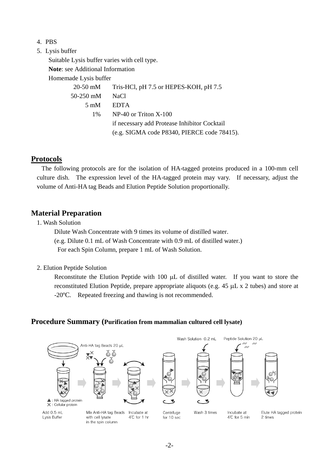- 4. PBS
- 5. Lysis buffer

Suitable Lysis buffer varies with cell type.

**Note**: see Additional Information

Homemade Lysis buffer

|                | 20-50 mM Tris-HCl, pH 7.5 or HEPES-KOH, pH 7.5 |
|----------------|------------------------------------------------|
| 50-250 mM      | NaCl.                                          |
| $5 \text{ mM}$ | EDTA                                           |
| $1\%$          | $NP-40$ or Triton $X-100$                      |
|                | if necessary add Protease Inhibitor Cocktail   |
|                | (e.g. SIGMA code P8340, PIERCE code 78415).    |

# **Protocols**

The following protocols are for the isolation of HA-tagged proteins produced in a 100-mm cell culture dish. The expression level of the HA-tagged protein may vary. If necessary, adjust the volume of Anti-HA tag Beads and Elution Peptide Solution proportionally.

# **Material Preparation**

1. Wash Solution

 Dilute Wash Concentrate with 9 times its volume of distilled water. (e.g. Dilute 0.1 mL of Wash Concentrate with 0.9 mL of distilled water.) For each Spin Column, prepare 1 mL of Wash Solution.

2. Elution Peptide Solution

Reconstitute the Elution Peptide with  $100 \mu L$  of distilled water. If you want to store the reconstituted Elution Peptide, prepare appropriate aliquots (e.g.  $45 \mu L \times 2$  tubes) and store at -20ºC. Repeated freezing and thawing is not recommended.

## **Procedure Summary (Purification from mammalian cultured cell lysate)**

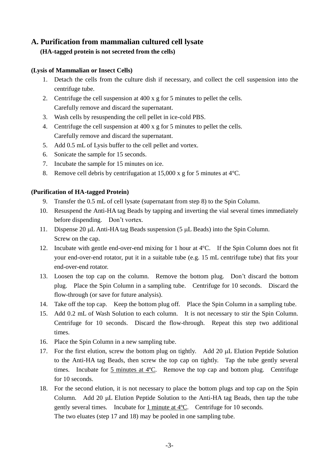# **A. Purification from mammalian cultured cell lysate**

## **(HA-tagged protein is not secreted from the cells)**

### **(Lysis of Mammalian or Insect Cells)**

- 1. Detach the cells from the culture dish if necessary, and collect the cell suspension into the centrifuge tube.
- 2. Centrifuge the cell suspension at 400 x g for 5 minutes to pellet the cells. Carefully remove and discard the supernatant.
- 3. Wash cells by resuspending the cell pellet in ice-cold PBS.
- 4. Centrifuge the cell suspension at 400 x g for 5 minutes to pellet the cells. Carefully remove and discard the supernatant.
- 5. Add 0.5 mL of Lysis buffer to the cell pellet and vortex.
- 6. Sonicate the sample for 15 seconds.
- 7. Incubate the sample for 15 minutes on ice.
- 8. Remove cell debris by centrifugation at 15,000 x g for 5 minutes at 4ºC.

#### **(Purification of HA-tagged Protein)**

- 9. Transfer the 0.5 mL of cell lysate (supernatant from step 8) to the Spin Column.
- 10. Resuspend the Anti-HA tag Beads by tapping and inverting the vial several times immediately before dispending. Don't vortex.
- 11. Dispense 20  $\mu$ L Anti-HA tag Beads suspension (5  $\mu$ L Beads) into the Spin Column. Screw on the cap.
- 12. Incubate with gentle end-over-end mixing for 1 hour at 4ºC. If the Spin Column does not fit your end-over-end rotator, put it in a suitable tube (e.g. 15 mL centrifuge tube) that fits your end-over-end rotator.
- 13. Loosen the top cap on the column. Remove the bottom plug. Don't discard the bottom plug. Place the Spin Column in a sampling tube. Centrifuge for 10 seconds. Discard the flow-through (or save for future analysis).
- 14. Take off the top cap. Keep the bottom plug off. Place the Spin Column in a sampling tube.
- 15. Add 0.2 mL of Wash Solution to each column. It is not necessary to stir the Spin Column. Centrifuge for 10 seconds. Discard the flow-through. Repeat this step two additional times.
- 16. Place the Spin Column in a new sampling tube.
- 17. For the first elution, screw the bottom plug on tightly. Add 20 µL Elution Peptide Solution to the Anti-HA tag Beads, then screw the top cap on tightly. Tap the tube gently several times. Incubate for  $\frac{5}{2}$  minutes at  $4^{\circ}$ C. Remove the top cap and bottom plug. Centrifuge for 10 seconds.
- 18. For the second elution, it is not necessary to place the bottom plugs and top cap on the Spin Column. Add 20  $\mu$ L Elution Peptide Solution to the Anti-HA tag Beads, then tap the tube gently several times. Incubate for 1 minute at 4ºC. Centrifuge for 10 seconds. The two eluates (step 17 and 18) may be pooled in one sampling tube.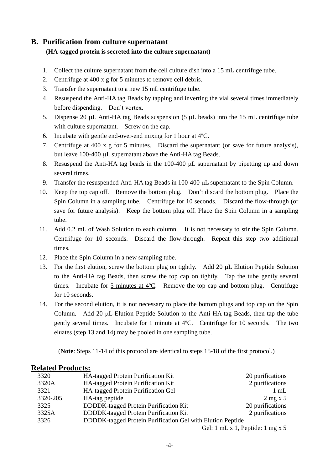# **B. Purification from culture supernatant**

## **(HA-tagged protein is secreted into the culture supernatant)**

- 1. Collect the culture supernatant from the cell culture dish into a 15 mL centrifuge tube.
- 2. Centrifuge at 400 x g for 5 minutes to remove cell debris.
- 3. Transfer the supernatant to a new 15 mL centrifuge tube.
- 4. Resuspend the Anti-HA tag Beads by tapping and inverting the vial several times immediately before dispending. Don't vortex.
- 5. Dispense 20  $\mu$ L Anti-HA tag Beads suspension (5  $\mu$ L beads) into the 15 mL centrifuge tube with culture supernatant. Screw on the cap.
- 6. Incubate with gentle end-over-end mixing for 1 hour at 4ºC.
- 7. Centrifuge at 400 x g for 5 minutes. Discard the supernatant (or save for future analysis), but leave 100-400 µL supernatant above the Anti-HA tag Beads.
- 8. Resuspend the Anti-HA tag beads in the  $100-400 \mu L$  supernatant by pipetting up and down several times.
- 9. Transfer the resuspended Anti-HA tag Beads in 100-400 µL supernatant to the Spin Column.
- 10. Keep the top cap off. Remove the bottom plug. Don't discard the bottom plug. Place the Spin Column in a sampling tube. Centrifuge for 10 seconds. Discard the flow-through (or save for future analysis). Keep the bottom plug off. Place the Spin Column in a sampling tube.
- 11. Add 0.2 mL of Wash Solution to each column. It is not necessary to stir the Spin Column. Centrifuge for 10 seconds. Discard the flow-through. Repeat this step two additional times.
- 12. Place the Spin Column in a new sampling tube.
- 13. For the first elution, screw the bottom plug on tightly. Add 20 µL Elution Peptide Solution to the Anti-HA tag Beads, then screw the top cap on tightly. Tap the tube gently several times. Incubate for 5 minutes at 4ºC. Remove the top cap and bottom plug. Centrifuge for 10 seconds.
- 14. For the second elution, it is not necessary to place the bottom plugs and top cap on the Spin Column. Add 20  $\mu$ L Elution Peptide Solution to the Anti-HA tag Beads, then tap the tube gently several times. Incubate for  $1$  minute at  $4^{\circ}$ C. Centrifuge for 10 seconds. The two eluates (step 13 and 14) may be pooled in one sampling tube.

(**Note**: Steps 11-14 of this protocol are identical to steps 15-18 of the first protocol.)

## **Related Products:**

| 3320     | <b>HA-tagged Protein Purification Kit</b>                  | 20 purifications                                        |
|----------|------------------------------------------------------------|---------------------------------------------------------|
| 3320A    | HA-tagged Protein Purification Kit                         | 2 purifications                                         |
| 3321     | HA-tagged Protein Purification Gel                         | $1 \text{ mL}$                                          |
| 3320-205 | HA-tag peptide                                             | $2$ mg x 5                                              |
| 3325     | DDDDK-tagged Protein Purification Kit                      | 20 purifications                                        |
| 3325A    | DDDDK-tagged Protein Purification Kit                      | 2 purifications                                         |
| 3326     | DDDDK-tagged Protein Purification Gel with Elution Peptide |                                                         |
|          |                                                            | $C_{1}$ 1 1 $T_{2}$ 1 $D_{3}$ $T_{1}$ 1 $T_{2}$ $T_{3}$ |

Gel: 1 mL x 1, Peptide: 1 mg x 5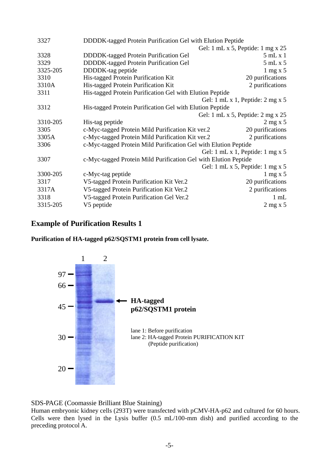| 3327     | DDDDK-tagged Protein Purification Gel with Elution Peptide      |                                                        |  |
|----------|-----------------------------------------------------------------|--------------------------------------------------------|--|
|          | Gel: 1 mL x 5, Peptide: 1 mg x $25$                             |                                                        |  |
| 3328     | DDDDK-tagged Protein Purification Gel                           | 5mLx1                                                  |  |
| 3329     | DDDDK-tagged Protein Purification Gel                           | 5mLx5                                                  |  |
| 3325-205 | DDDDK-tag peptide                                               | $1 \text{ mg} x 5$                                     |  |
| 3310     | His-tagged Protein Purification Kit                             | 20 purifications                                       |  |
| 3310A    | His-tagged Protein Purification Kit                             | 2 purifications                                        |  |
| 3311     | His-tagged Protein Purification Gel with Elution Peptide        |                                                        |  |
|          |                                                                 | Gel: $1 \text{ mL} x 1$ , Peptide: $2 \text{ mg } x 5$ |  |
| 3312     | His-tagged Protein Purification Gel with Elution Peptide        |                                                        |  |
|          |                                                                 | Gel: 1 mL x 5, Peptide: $2 \text{ mg } x 25$           |  |
| 3310-205 | His-tag peptide                                                 | $2$ mg x 5                                             |  |
| 3305     | c-Myc-tagged Protein Mild Purification Kit ver.2                | 20 purifications                                       |  |
| 3305A    | c-Myc-tagged Protein Mild Purification Kit ver.2                | 2 purifications                                        |  |
| 3306     | c-Myc-tagged Protein Mild Purification Gel with Elution Peptide |                                                        |  |
|          |                                                                 | Gel: $1 \text{ mL} x 1$ , Peptide: $1 \text{ mg } x 5$ |  |
| 3307     | c-Myc-tagged Protein Mild Purification Gel with Elution Peptide |                                                        |  |
|          |                                                                 | Gel: $1 \text{ mL} x 5$ , Peptide: $1 \text{ mg } x 5$ |  |
| 3300-205 | c-Myc-tag peptide                                               | $1 \text{ mg} \times 5$                                |  |
| 3317     | V5-tagged Protein Purification Kit Ver.2                        | 20 purifications                                       |  |
| 3317A    | V5-tagged Protein Purification Kit Ver.2                        | 2 purifications                                        |  |
| 3318     | V5-tagged Protein Purification Gel Ver.2                        | $1 \text{ mL}$                                         |  |
| 3315-205 | V5 peptide                                                      | $2$ mg x 5                                             |  |

# **Example of Purification Results 1**

**Purification of HA-tagged p62/SQSTM1 protein from cell lysate.**



SDS-PAGE (Coomassie Brilliant Blue Staining)

Human embryonic kidney cells (293T) were transfected with pCMV-HA-p62 and cultured for 60 hours. Cells were then lysed in the Lysis buffer (0.5 mL/100-mm dish) and purified according to the preceding protocol A.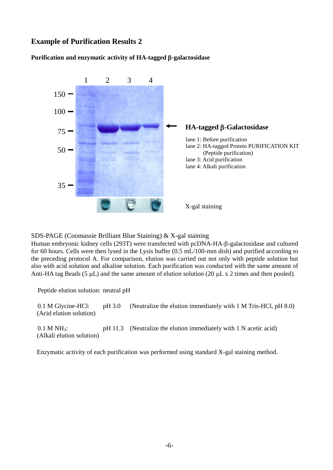# **Example of Purification Results 2**

## **Purification and enzymatic activity of HA-tagged -galactosidase**



SDS-PAGE (Coomassie Brilliant Blue Staining) & X-gal staining

Human embryonic kidney cells (293T) were transfected with pcDNA-HA- $\beta$ -galactosidase and cultured for 60 hours. Cells were then lysed in the Lysis buffer (0.5 mL/100-mm dish) and purified according to the preceding protocol A. For comparison, elution was carried out not only with peptide solution but also with acid solution and alkaline solution. Each purification was conducted with the same amount of Anti-HA tag Beads (5  $\mu$ L) and the same amount of elution solution (20  $\mu$ L x 2 times and then pooled).

Peptide elution solution: neutral pH

 0.1 M Glycine-HCl: pH 3.0 (Neutralize the elution immediately with 1 M Tris-HCl, pH 8.0) (Acid elution solution)

0.1 M NH<sub>3</sub>: pH 11.3 (Neutralize the elution immediately with 1 N acetic acid) (Alkali elution solution)

Enzymatic activity of each purification was performed using standard X-gal staining method.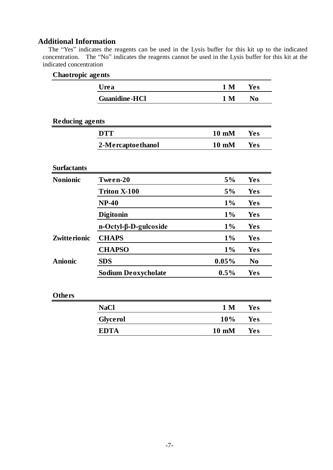## **Additional Information**

The "Yes" indicates the reagents can be used in the Lysis buffer for this kit up to the indicated concentration. The "No" indicates the reagents cannot be used in the Lysis buffer for this kit at the indicated concentration

## **Chaotropic agents**

|                        | Urea                        | 1 <sub>M</sub> | Yes            |
|------------------------|-----------------------------|----------------|----------------|
|                        | <b>Guanidine-HCl</b>        | 1 <sub>M</sub> | N <sub>0</sub> |
|                        |                             |                |                |
| <b>Reducing agents</b> |                             |                |                |
|                        | <b>DTT</b>                  | 10 mM          | <b>Yes</b>     |
|                        | 2-Mercaptoethanol           | 10 mM          | <b>Yes</b>     |
| <b>Surfactants</b>     |                             |                |                |
| <b>Nonionic</b>        | Tween-20                    | 5%             | Yes            |
|                        | <b>Triton X-100</b>         | 5%             | Yes            |
|                        | $NP-40$                     | 1%             | Yes            |
|                        | Digitonin                   | $1\%$          | <b>Yes</b>     |
|                        | $n-Octyl-\beta-D-gulcoside$ | 1%             | <b>Yes</b>     |
| <b>Zwitterionic</b>    | <b>CHAPS</b>                | 1%             | Yes            |
|                        | <b>CHAPSO</b>               | 1%             | <b>Yes</b>     |
| <b>Anionic</b>         | <b>SDS</b>                  | 0.05%          | N <sub>0</sub> |
|                        | <b>Sodium Deoxycholate</b>  | 0.5%           | Yes            |
| <b>Others</b>          |                             |                |                |
|                        | <b>NaCl</b>                 | 1 <sub>M</sub> | <b>Yes</b>     |
|                        | <b>Glycerol</b>             | 10%            | <b>Yes</b>     |
|                        | <b>EDTA</b>                 | 10 mM          | Yes            |
|                        |                             |                |                |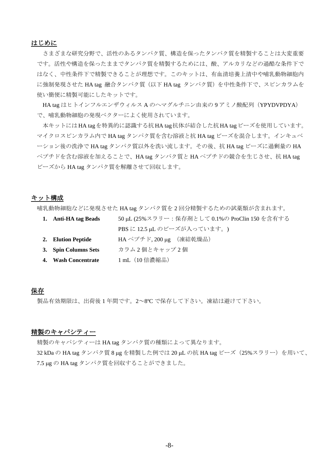#### はじめに

さまざまな研究分野で、活性のあるタンパク質、構造を保ったタンパク質を精製することは大変重要 です。活性や構造を保ったままでタンパク質を精製するためには、酸、アルカリなどの過酷な条件下で はなく、中性条件下で精製できることが理想です。このキットは、有血清培養上清中や哺乳動物細胞内 に強制発現させた HA tag 融合タンパク質(以下 HA tag タンパク質)を中性条件下で、スピンカラムを 使い簡便に精製可能にしたキットです。

HA tag はヒトインフルエンザウィルス A のヘマグルチニン由来の 9 アミノ酸配列(YPYDVPDYA) で、哺乳動物細胞の発現ベクターによく使用されています。

本キットにはHA tagを特異的に認識する抗HA tag抗体が結合した抗HA tagビーズを使用しています。 マイクロスピンカラム内で HA tag タンパク質を含む溶液と抗 HA tag ビーズを混合します。インキュベ ーション後の洗浄で HA tag タンパク質以外を洗い流します。その後、抗 HA tag ビーズに過剰量の HA ペプチドを含む溶液を加えることで、HA tag タンパク質と HA ペプチドの競合を生じさせ、抗 HA tag ビーズから HA tag タンパク質を解離させて回収します。

#### キット構成

哺乳動物細胞などに発現させた HA tag タンパク質を 2 回分精製するための試薬類が含まれます。

| 1. Anti-HA tag Beads | 50 µL (25%スラリー: 保存剤として0.1%の ProClin 150 を含有する |
|----------------------|-----------------------------------------------|
|                      | PBS に 12.5 $\mu$ L のビーズが入っています。)              |
| 2. Elution Peptide   | HA ペプチド, 200 $\mu$ g (凍結乾燥品)                  |
| 3. Spin Columns Sets | カラム2個とキャップ2個                                  |
| 4. Wash Concentrate  | 1 mL (10 倍濃縮品)                                |

### 保存

製品有効期限は、出荷後 1 年間です。2~8ºC で保存して下さい。凍結は避けて下さい。

### 精製のキャパシティー

精製のキャパシティーは HA tag タンパク質の種類によって異なります。 32 kDa の HA tag タンパク質 8 μg を精製した例では 20 μL の抗 HA tag ビーズ (25%スラリー) を用いて、 7.5 µg の HA tag タンパク質を回収することができました。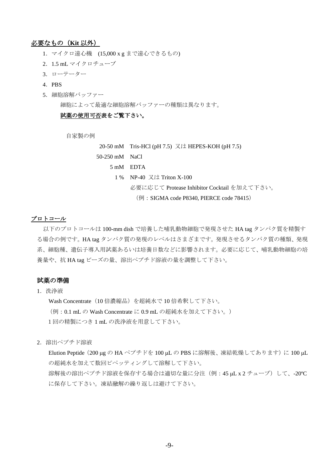## 必要なもの(**Kit** 以外)

- 1.マイクロ遠心機 (15,000 x g まで遠心できるもの)
- 2.1.5 mL マイクロチューブ
- 3.ローテーター
- 4.PBS
- 5.細胞溶解バッファー

細胞によって最適な細胞溶解バッファーの種類は異なります。

#### 試薬の使用可否表をご覧下さい。

自家製の例

20-50 mM Tris-HCl (pH 7.5) 又は HEPES-KOH (pH 7.5) 50-250 mM NaCl 5 mM EDTA 1 % NP-40 又は Triton X-100 必要に応じて Protease Inhibitor Cocktail を加えて下さい。 (例: SIGMA code P8340, PIERCE code 78415)

#### プロトコール

以下のプロトコールは 100-mm dish で培養した哺乳動物細胞で発現させた HA tag タンパク質を精製す る場合の例です。HA tag タンパク質の発現のレベルはさまざまです。発現させるタンパク質の種類、発現 系、細胞種、遺伝子導入用試薬あるいは培養日数などに影響されます。必要に応じて、哺乳動物細胞の培 養量や、抗 HA tag ビーズの量、溶出ペプチド溶液の量を調整して下さい。

#### 試薬の準備

1.洗浄液

Wash Concentrate (10 倍濃縮品) を超純水で 10 倍希釈して下さい。 (例:0.1 mL の Wash Concentrate に 0.9 mL の超純水を加えて下さい。) 1回の精製につき 1 mL の洗浄液を用意して下さい。

2.溶出ペプチド溶液

Elution Peptide (200 μg の HA ペプチドを 100 μL の PBS に溶解後、凍結乾燥してあります)に 100 μL の超純水を加えて数回ピペッティングして溶解して下さい。 溶解後の溶出ペプチド溶液を保存する場合は適切な量に分注(例: 45 µL x 2 チューブ) して、-20℃ に保存して下さい。凍結融解の繰り返しは避けて下さい。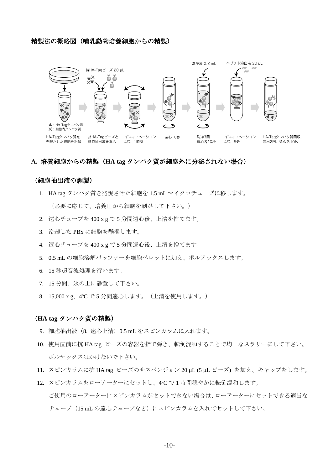#### 精製法の概略図(哺乳動物培養細胞からの精製)



#### **A.** 培養細胞からの精製(**HA tag** タンパク質が細胞外に分泌されない場合)

#### (細胞抽出液の調製)

- 1. HA tag タンパク質を発現させた細胞を 1.5 mL マイクロチューブに移します。 (必要に応じて、培養皿から細胞を剥がして下さい。)
- 2. 遠心チューブを 400 x g で 5 分間遠心後、上清を捨てます。
- 3. 冷却した PBS に細胞を懸濁します。
- 4. 遠心チューブを 400 x g で 5 分間遠心後、上清を捨てます。
- 5. 0.5 mL の細胞溶解バッファーを細胞ペレットに加え、ボルテックスします。
- 6. 15 秒超音波処理を行います。
- 7. 15 分間、氷の上に静置して下さい。
- 8. 15,000 x g、4ºC で 5 分間遠心します。(上清を使用します。)

#### (**HA tag** タンパク質の精製)

- 9. 細胞抽出液 (8. 遠心上清) 0.5 mL をスピンカラムに入れます。
- 10. 使用直前に抗 HA tag ビーズの容器を指で弾き、転倒混和することで均一なスラリーにして下さい。 ボルテックスはかけないで下さい。
- 11. スピンカラムに抗 HA tag ビーズのサスペンジョン 20 uL (5 uL ビーズ) を加え、キャップをします。
- 12. スピンカラムをローテーターにセットし、4ºC で 1 時間穏やかに転倒混和します。 ご使用のローテーターにスピンカラムがセットできない場合は、ローテーターにセットできる適当な チューブ(15 mL の遠心チューブなど)にスピンカラムを入れてセットして下さい。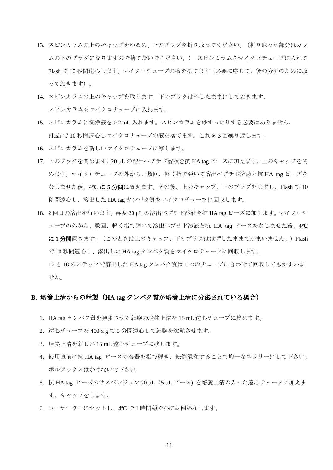- 13. スピンカラムの上のキャップをゆるめ、下のプラグを折り取ってください。(折り取った部分はカラ ムの下のプラグになりますので捨てないでください。) スピンカラムをマイクロチューブに入れて Flash で 10 秒間遠心します。マイクロチューブの液を捨てます(必要に応じて、後の分析のために取 っておきます)。
- 14. スピンカラムの上のキャップを取ります。下のプラグは外したままにしておきます。 スピンカラムをマイクロチューブに入れます。
- 15. スピンカラムに洗浄液を 0.2 mL 入れます。スピンカラムをゆすったりする必要はありません。 Flash で 10 秒間遠心しマイクロチューブの液を捨てます。これを 3 回繰り返します。
- 16. スピンカラムを新しいマイクロチューブに移します。
- 17. 下のプラグを閉めます。20 µL の溶出ペプチド溶液を抗 HA tag ビーズに加えます。上のキャップを閉 めます。マイクロチューブの外から、数回、軽く指で弾いて溶出ペプチド溶液と抗 HA tag ビーズを なじませた後、**4ºC** に **5** 分間に置きます。その後、上のキャップ、下のプラグをはずし、Flash で 10 秒間遠心し、溶出した HA tag タンパク質をマイクロチューブに回収します。
- 18. 2回目の溶出を行います。再度 20 μL の溶出ペプチド溶液を抗 HA tag ビーズに加えます。マイクロチ ューブの外から、数回、軽く指で弾いて溶出ペプチド溶液と抗 HA tag ビーズをなじませた後、**4ºC** に1分間置きます。(このときは上のキャップ、下のプラグははずしたままでかまいません。)Flash で 10 秒間遠心し、溶出した HA tag タンパク質をマイクロチューブに回収します。

17 と 18 のステップで溶出した HA tag タンパク質は 1 つのチューブに合わせて回収してもかまいま せん。

#### **B.** 培養上清からの精製(**HA tag** タンパク質が培養上清に分泌されている場合)

- 1. HA tag タンパク質を発現させた細胞の培養上清を 15 mL 遠心チューブに集めます。
- 2. 遠心チューブを 400 x g で 5 分間遠心して細胞を沈殿させます。
- 3. 培養上清を新しい 15 mL 遠心チューブに移します。
- 4. 使用直前に抗 HA tag ビーズの容器を指で弾き、転倒混和することで均一なスラリーにして下さい。 ボルテックスはかけないで下さい。
- 5. 抗 HA tag ビーズのサスペンジョン 20 μL (5 μL ビーズ) を培養上清の入った遠心チューブに加えま す。キャップをします。
- 6. ローテーターにセットし、4ºC で 1 時間穏やかに転倒混和します。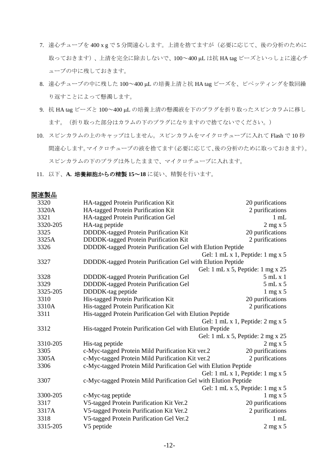- 7. 遠心チューブを 400 x g で 5 分間遠心します。上清を捨てますが(必要に応じて、後の分析のために 取っておきます)、上清を完全に除去しないで、100~400 uL は抗 HA tag ビーズといっしょに遠心チ ューブの中に残しておきます。
- 8. 遠心チューブの中に残した 100~400 µL の培養上清と抗 HA tag ビーズを、ピペッティングを数回繰 り返すことによって懸濁します。
- 9. 抗 HA tag ビーズと 100~400 µL の培養上清の懸濁液を下のプラグを折り取ったスピンカラムに移し ます。(折り取った部分はカラムの下のプラグになりますので捨てないでください。)
- 10. スピンカラムの上のキャップはしません。スピンカラムをマイクロチューブに入れて Flash で 10 秒 間遠心します。マイクロチューブの液を捨てます(必要に応じて、後の分析のために取っておきます)。 スピンカラムの下のプラグは外したままで、マイクロチューブに入れます。
- 11. 以下、**A.** 培養細胞からの精製 **15**~**18** に従い、精製を行います。

| 関連製品 |
|------|
|------|

| 3320     | HA-tagged Protein Purification Kit                              | 20 purifications                                       |  |
|----------|-----------------------------------------------------------------|--------------------------------------------------------|--|
| 3320A    | HA-tagged Protein Purification Kit                              | 2 purifications                                        |  |
| 3321     | HA-tagged Protein Purification Gel                              | $1 \text{ mL}$                                         |  |
| 3320-205 | HA-tag peptide                                                  | $2$ mg x 5                                             |  |
| 3325     | DDDDK-tagged Protein Purification Kit                           | 20 purifications                                       |  |
| 3325A    | DDDDK-tagged Protein Purification Kit                           | 2 purifications                                        |  |
| 3326     | DDDDK-tagged Protein Purification Gel with Elution Peptide      |                                                        |  |
|          |                                                                 | Gel: 1 mL x 1, Peptide: 1 mg x 5                       |  |
| 3327     | DDDDK-tagged Protein Purification Gel with Elution Peptide      |                                                        |  |
|          |                                                                 | Gel: 1 mL x 5, Peptide: 1 mg x 25                      |  |
| 3328     | DDDDK-tagged Protein Purification Gel                           | 5mLx1                                                  |  |
| 3329     | DDDDK-tagged Protein Purification Gel                           | 5mLx5                                                  |  |
| 3325-205 | DDDDK-tag peptide                                               | $1 \text{ mg} x 5$                                     |  |
| 3310     | His-tagged Protein Purification Kit                             | 20 purifications                                       |  |
| 3310A    | His-tagged Protein Purification Kit                             | 2 purifications                                        |  |
| 3311     | His-tagged Protein Purification Gel with Elution Peptide        |                                                        |  |
|          |                                                                 | Gel: $1 \text{ mL} x 1$ , Peptide: $2 \text{ mg } x 5$ |  |
| 3312     | His-tagged Protein Purification Gel with Elution Peptide        |                                                        |  |
|          |                                                                 | Gel: 1 mL x 5, Peptide: 2 mg x 25                      |  |
| 3310-205 | His-tag peptide                                                 | $2$ mg x 5                                             |  |
| 3305     | c-Myc-tagged Protein Mild Purification Kit ver.2                | 20 purifications                                       |  |
| 3305A    | c-Myc-tagged Protein Mild Purification Kit ver.2                | 2 purifications                                        |  |
| 3306     | c-Myc-tagged Protein Mild Purification Gel with Elution Peptide |                                                        |  |
|          |                                                                 | Gel: 1 mL x 1, Peptide: 1 mg x 5                       |  |
| 3307     | c-Myc-tagged Protein Mild Purification Gel with Elution Peptide |                                                        |  |
|          |                                                                 | Gel: 1 mL x 5, Peptide: 1 mg x 5                       |  |
| 3300-205 | c-Myc-tag peptide                                               | $1 \text{ mg} \times 5$                                |  |
| 3317     | V5-tagged Protein Purification Kit Ver.2                        | 20 purifications                                       |  |
| 3317A    | V5-tagged Protein Purification Kit Ver.2                        | 2 purifications                                        |  |
| 3318     | V5-tagged Protein Purification Gel Ver.2                        | $1 \text{ mL}$                                         |  |
| 3315-205 | V5 peptide                                                      | $2$ mg x 5                                             |  |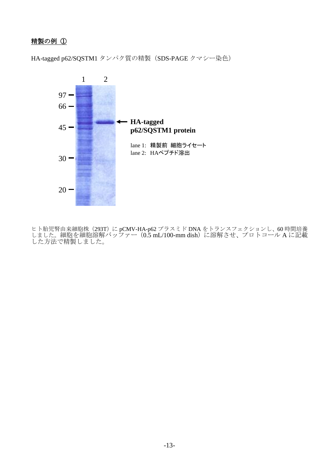# 精製の例 ①

HA-tagged p62/SQSTM1 タンパク質の精製 (SDS-PAGE クマシー染色)



ヒト胎児腎由来細胞株(293T)に pCMV-HA-p62 プラスミド DNA をトランスフェクションし、60 時間培養 しました。細胞を細胞溶解バッファー(0.5 mL/100-mm dish)に溶解させ、プロトコール A に記載 した方法で精製しました。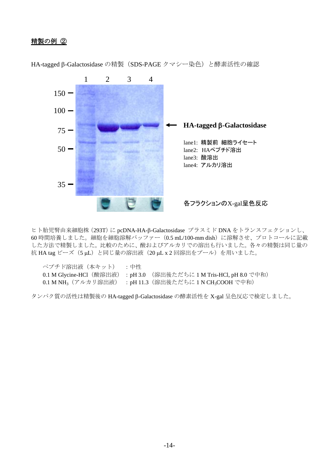# 精製の例 ②



HA-tagged β-Galactosidase の精製 (SDS-PAGE クマシー染色)と酵素活性の確認

ヒト胎児腎由来細胞株(293T)に pcDNA-HA-β-Galactosidase プラスミド DNA をトランスフェクションし、 60 時間培養しました。細胞を細胞溶解バッファー(0.5 mL/100-mm dish)に溶解させ、プロトコールに記載 した方法で精製しました。比較のために、酸およびアルカリでの溶出も行いました。各々の精製は同じ量の 抗 HA tag ビーズ (5 μL) と同じ量の溶出液 (20 μL x 2 回溶出をプール) を用いました。

| ペプチド溶出液(本キット) :中性                 |                                                                      |
|-----------------------------------|----------------------------------------------------------------------|
|                                   | 0.1 M Glycine-HCl (酸溶出液) : pH 3.0 (溶出後ただちに 1 M Tris-HCl, pH 8.0 で中和) |
| $0.1$ M NH <sub>3</sub> (アルカリ溶出液) | :pH 11.3(溶出後ただちに 1 N CH <sub>3</sub> COOH で中和)                       |

タンパク質の活性は精製後の HA-tagged β-Galactosidase の酵素活性を X-gal 呈色反応で検定しました。